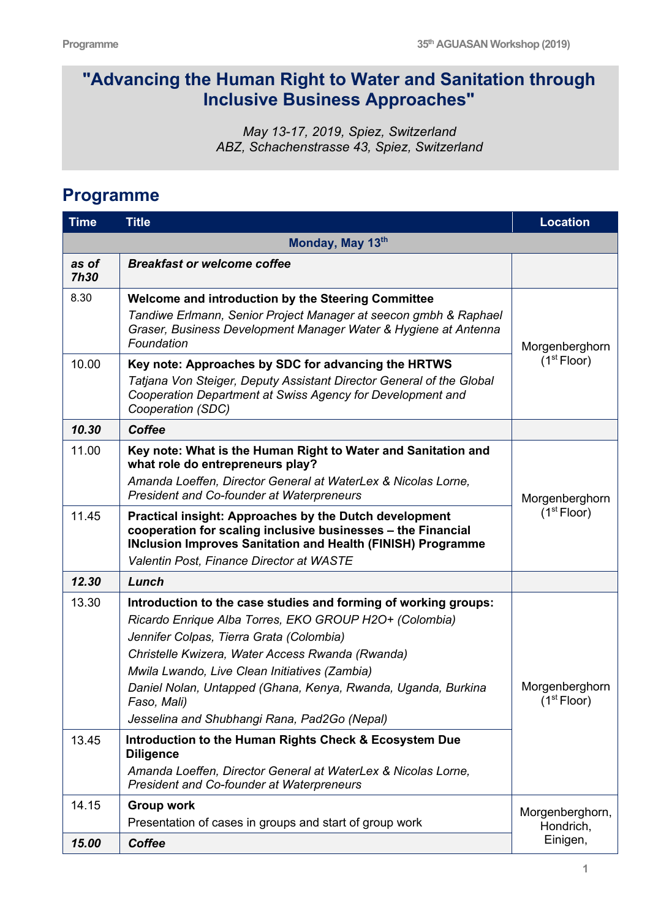## **"Advancing the Human Right to Water and Sanitation through Inclusive Business Approaches"**

*May 13-17, 2019, Spiez, Switzerland ABZ, Schachenstrasse 43, Spiez, Switzerland*

## **Programme**

| <b>Time</b>          | <b>Title</b>                                                                                                                                                                                                                                                                                                                                                                                               | <b>Location</b>                           |  |  |  |
|----------------------|------------------------------------------------------------------------------------------------------------------------------------------------------------------------------------------------------------------------------------------------------------------------------------------------------------------------------------------------------------------------------------------------------------|-------------------------------------------|--|--|--|
| Monday, May 13th     |                                                                                                                                                                                                                                                                                                                                                                                                            |                                           |  |  |  |
| as of<br><b>7h30</b> | <b>Breakfast or welcome coffee</b>                                                                                                                                                                                                                                                                                                                                                                         |                                           |  |  |  |
| 8.30                 | Welcome and introduction by the Steering Committee<br>Tandiwe Erlmann, Senior Project Manager at seecon gmbh & Raphael<br>Graser, Business Development Manager Water & Hygiene at Antenna<br>Foundation                                                                                                                                                                                                    | Morgenberghorn<br>(1 <sup>st</sup> Floor) |  |  |  |
| 10.00                | Key note: Approaches by SDC for advancing the HRTWS<br>Tatjana Von Steiger, Deputy Assistant Director General of the Global<br>Cooperation Department at Swiss Agency for Development and<br>Cooperation (SDC)                                                                                                                                                                                             |                                           |  |  |  |
| 10.30                | <b>Coffee</b>                                                                                                                                                                                                                                                                                                                                                                                              |                                           |  |  |  |
| 11.00                | Key note: What is the Human Right to Water and Sanitation and<br>what role do entrepreneurs play?<br>Amanda Loeffen, Director General at WaterLex & Nicolas Lorne,<br><b>President and Co-founder at Waterpreneurs</b>                                                                                                                                                                                     | Morgenberghorn<br>(1 <sup>st</sup> Floor) |  |  |  |
| 11.45                | Practical insight: Approaches by the Dutch development<br>cooperation for scaling inclusive businesses - the Financial<br><b>INclusion Improves Sanitation and Health (FINISH) Programme</b><br>Valentin Post, Finance Director at WASTE                                                                                                                                                                   |                                           |  |  |  |
| 12.30                | Lunch                                                                                                                                                                                                                                                                                                                                                                                                      |                                           |  |  |  |
| 13.30                | Introduction to the case studies and forming of working groups:<br>Ricardo Enrique Alba Torres, EKO GROUP H2O+ (Colombia)<br>Jennifer Colpas, Tierra Grata (Colombia)<br>Christelle Kwizera, Water Access Rwanda (Rwanda)<br>Mwila Lwando, Live Clean Initiatives (Zambia)<br>Daniel Nolan, Untapped (Ghana, Kenya, Rwanda, Uganda, Burkina<br>Faso, Mali)<br>Jesselina and Shubhangi Rana, Pad2Go (Nepal) | Morgenberghorn<br>(1 <sup>st</sup> Floor) |  |  |  |
| 13.45                | Introduction to the Human Rights Check & Ecosystem Due<br><b>Diligence</b><br>Amanda Loeffen, Director General at WaterLex & Nicolas Lorne,<br>President and Co-founder at Waterpreneurs                                                                                                                                                                                                                   |                                           |  |  |  |
| 14.15                | <b>Group work</b><br>Presentation of cases in groups and start of group work                                                                                                                                                                                                                                                                                                                               | Morgenberghorn,<br>Hondrich,              |  |  |  |
| 15.00                | <b>Coffee</b>                                                                                                                                                                                                                                                                                                                                                                                              | Einigen,                                  |  |  |  |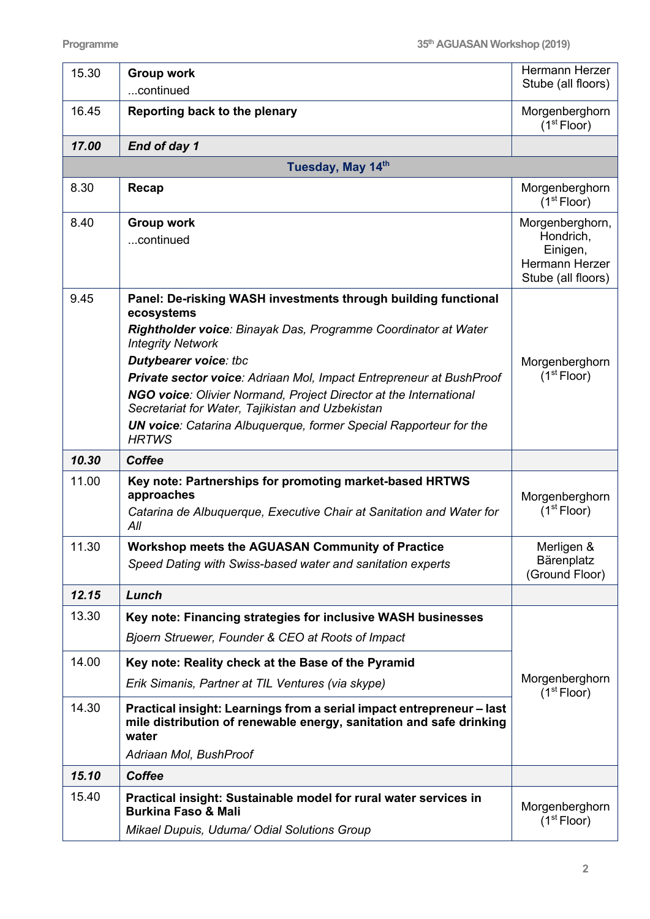| 15.30 | <b>Group work</b><br>continued                                                                                                                                                                                                                                                                                                                                                                                                                                                                         | Hermann Herzer<br>Stube (all floors)                                             |  |  |  |  |
|-------|--------------------------------------------------------------------------------------------------------------------------------------------------------------------------------------------------------------------------------------------------------------------------------------------------------------------------------------------------------------------------------------------------------------------------------------------------------------------------------------------------------|----------------------------------------------------------------------------------|--|--|--|--|
| 16.45 | Reporting back to the plenary                                                                                                                                                                                                                                                                                                                                                                                                                                                                          | Morgenberghorn<br>(1 <sup>st</sup> Floor)                                        |  |  |  |  |
| 17.00 | End of day 1                                                                                                                                                                                                                                                                                                                                                                                                                                                                                           |                                                                                  |  |  |  |  |
|       | Tuesday, May 14th                                                                                                                                                                                                                                                                                                                                                                                                                                                                                      |                                                                                  |  |  |  |  |
| 8.30  | Recap                                                                                                                                                                                                                                                                                                                                                                                                                                                                                                  | Morgenberghorn<br>(1 <sup>st</sup> Floor)                                        |  |  |  |  |
| 8.40  | <b>Group work</b><br>continued                                                                                                                                                                                                                                                                                                                                                                                                                                                                         | Morgenberghorn,<br>Hondrich,<br>Einigen,<br>Hermann Herzer<br>Stube (all floors) |  |  |  |  |
| 9.45  | Panel: De-risking WASH investments through building functional<br>ecosystems<br>Rightholder voice: Binayak Das, Programme Coordinator at Water<br><b>Integrity Network</b><br><b>Dutybearer voice: the</b><br>Private sector voice: Adriaan Mol, Impact Entrepreneur at BushProof<br>NGO voice: Olivier Normand, Project Director at the International<br>Secretariat for Water, Tajikistan and Uzbekistan<br><b>UN voice:</b> Catarina Albuquerque, former Special Rapporteur for the<br><b>HRTWS</b> | Morgenberghorn<br>(1 <sup>st</sup> Floor)                                        |  |  |  |  |
| 10.30 | <b>Coffee</b>                                                                                                                                                                                                                                                                                                                                                                                                                                                                                          |                                                                                  |  |  |  |  |
| 11.00 | Key note: Partnerships for promoting market-based HRTWS<br>approaches<br>Catarina de Albuquerque, Executive Chair at Sanitation and Water for<br>All                                                                                                                                                                                                                                                                                                                                                   | Morgenberghorn<br>(1 <sup>st</sup> Floor)                                        |  |  |  |  |
| 11.30 | <b>Workshop meets the AGUASAN Community of Practice</b><br>Speed Dating with Swiss-based water and sanitation experts                                                                                                                                                                                                                                                                                                                                                                                  | Merligen &<br>Bärenplatz<br>(Ground Floor)                                       |  |  |  |  |
| 12.15 | Lunch                                                                                                                                                                                                                                                                                                                                                                                                                                                                                                  |                                                                                  |  |  |  |  |
| 13.30 | Key note: Financing strategies for inclusive WASH businesses<br>Bjoern Struewer, Founder & CEO at Roots of Impact                                                                                                                                                                                                                                                                                                                                                                                      |                                                                                  |  |  |  |  |
| 14.00 | Key note: Reality check at the Base of the Pyramid<br>Erik Simanis, Partner at TIL Ventures (via skype)                                                                                                                                                                                                                                                                                                                                                                                                | Morgenberghorn<br>(1 <sup>st</sup> Floor)                                        |  |  |  |  |
| 14.30 | Practical insight: Learnings from a serial impact entrepreneur - last<br>mile distribution of renewable energy, sanitation and safe drinking<br>water<br>Adriaan Mol, BushProof                                                                                                                                                                                                                                                                                                                        |                                                                                  |  |  |  |  |
| 15.10 | <b>Coffee</b>                                                                                                                                                                                                                                                                                                                                                                                                                                                                                          |                                                                                  |  |  |  |  |
| 15.40 | Practical insight: Sustainable model for rural water services in<br><b>Burkina Faso &amp; Mali</b><br>Mikael Dupuis, Uduma/ Odial Solutions Group                                                                                                                                                                                                                                                                                                                                                      | Morgenberghorn<br>(1 <sup>st</sup> Floor)                                        |  |  |  |  |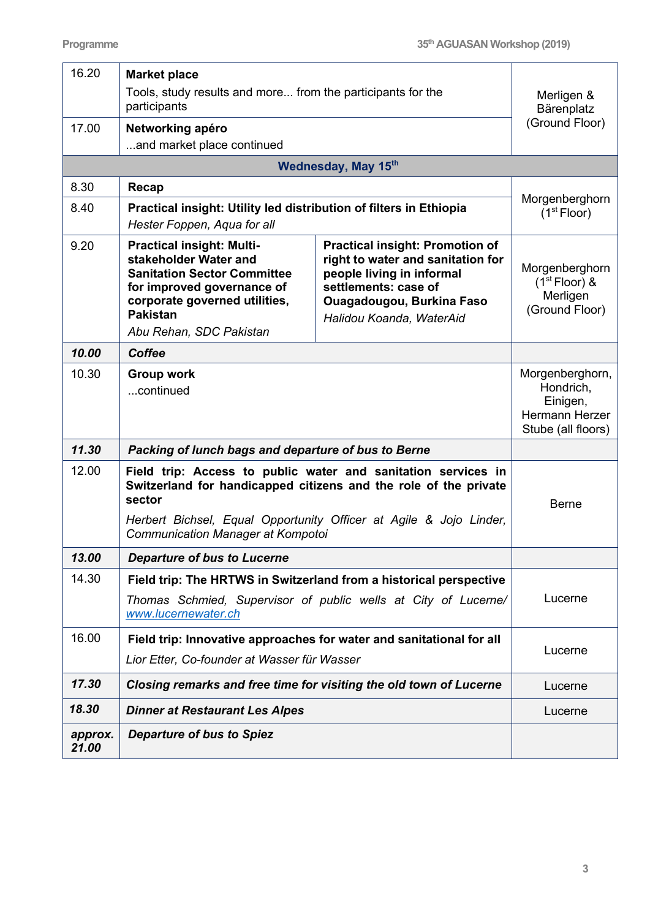| 16.20            | <b>Market place</b>                                                                                                                                                                                               |                                                                                                                                                                                                  |                                                                                  |
|------------------|-------------------------------------------------------------------------------------------------------------------------------------------------------------------------------------------------------------------|--------------------------------------------------------------------------------------------------------------------------------------------------------------------------------------------------|----------------------------------------------------------------------------------|
|                  | Tools, study results and more from the participants for the<br>participants                                                                                                                                       |                                                                                                                                                                                                  | Merligen &<br>Bärenplatz                                                         |
| 17.00            | Networking apéro                                                                                                                                                                                                  |                                                                                                                                                                                                  | (Ground Floor)                                                                   |
|                  | and market place continued<br><b>Wednesday, May 15th</b>                                                                                                                                                          |                                                                                                                                                                                                  |                                                                                  |
|                  |                                                                                                                                                                                                                   |                                                                                                                                                                                                  |                                                                                  |
| 8.30             | Recap                                                                                                                                                                                                             |                                                                                                                                                                                                  | Morgenberghorn                                                                   |
| 8.40             | Practical insight: Utility led distribution of filters in Ethiopia<br>Hester Foppen, Aqua for all                                                                                                                 |                                                                                                                                                                                                  | (1 <sup>st</sup> Floor)                                                          |
| 9.20             | <b>Practical insight: Multi-</b><br>stakeholder Water and<br><b>Sanitation Sector Committee</b><br>for improved governance of<br>corporate governed utilities,<br><b>Pakistan</b><br>Abu Rehan, SDC Pakistan      | <b>Practical insight: Promotion of</b><br>right to water and sanitation for<br>people living in informal<br>settlements: case of<br><b>Ouagadougou, Burkina Faso</b><br>Halidou Koanda, WaterAid | Morgenberghorn<br>$(1st Floor)$ &<br>Merligen<br>(Ground Floor)                  |
| 10.00            | <b>Coffee</b>                                                                                                                                                                                                     |                                                                                                                                                                                                  |                                                                                  |
| 10.30            | <b>Group work</b><br>continued                                                                                                                                                                                    |                                                                                                                                                                                                  | Morgenberghorn,<br>Hondrich,<br>Einigen,<br>Hermann Herzer<br>Stube (all floors) |
| 11.30            | Packing of lunch bags and departure of bus to Berne                                                                                                                                                               |                                                                                                                                                                                                  |                                                                                  |
| 12.00            | Field trip: Access to public water and sanitation services in<br>Switzerland for handicapped citizens and the role of the private<br>sector<br>Herbert Bichsel, Equal Opportunity Officer at Agile & Jojo Linder, |                                                                                                                                                                                                  | <b>Berne</b>                                                                     |
| 13.00            | Communication Manager at Kompotoi<br><b>Departure of bus to Lucerne</b>                                                                                                                                           |                                                                                                                                                                                                  |                                                                                  |
| 14.30            |                                                                                                                                                                                                                   |                                                                                                                                                                                                  |                                                                                  |
|                  | Field trip: The HRTWS in Switzerland from a historical perspective<br>Thomas Schmied, Supervisor of public wells at City of Lucerne/<br>www.lucernewater.ch                                                       |                                                                                                                                                                                                  | Lucerne                                                                          |
| 16.00            | Field trip: Innovative approaches for water and sanitational for all                                                                                                                                              |                                                                                                                                                                                                  |                                                                                  |
|                  | Lior Etter, Co-founder at Wasser für Wasser                                                                                                                                                                       | Lucerne                                                                                                                                                                                          |                                                                                  |
| 17.30            | Closing remarks and free time for visiting the old town of Lucerne                                                                                                                                                |                                                                                                                                                                                                  | Lucerne                                                                          |
| 18.30            | <b>Dinner at Restaurant Les Alpes</b>                                                                                                                                                                             |                                                                                                                                                                                                  | Lucerne                                                                          |
| approx.<br>21.00 | <b>Departure of bus to Spiez</b>                                                                                                                                                                                  |                                                                                                                                                                                                  |                                                                                  |